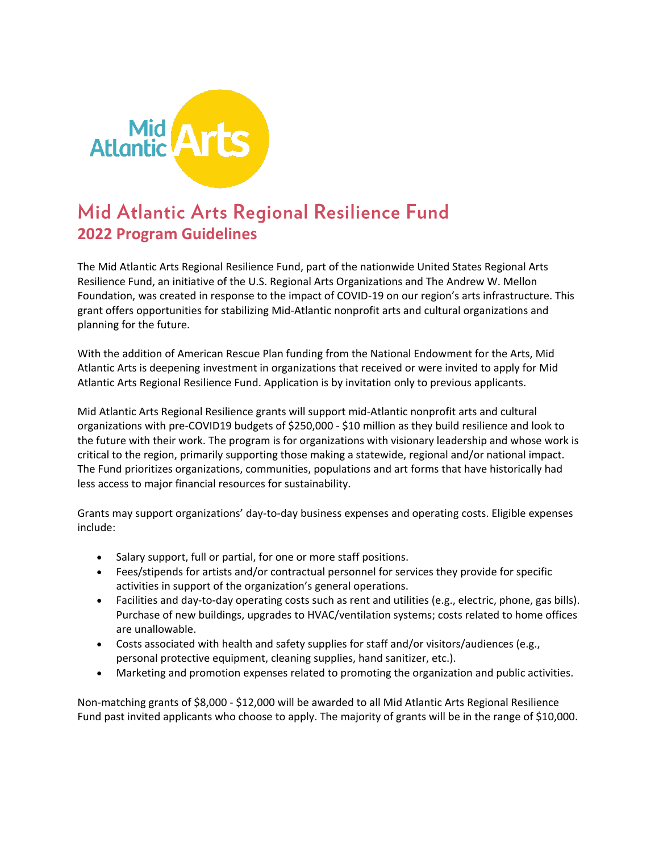

# Mid Atlantic Arts Regional Resilience Fund **2022 Program Guidelines**

The Mid Atlantic Arts Regional Resilience Fund, part of the nationwide United States Regional Arts Resilience Fund, an initiative of the U.S. Regional Arts Organizations and The Andrew W. Mellon Foundation, was created in response to the impact of COVID-19 on our region's arts infrastructure. This grant offers opportunities for stabilizing Mid-Atlantic nonprofit arts and cultural organizations and planning for the future.

With the addition of American Rescue Plan funding from the National Endowment for the Arts, Mid Atlantic Arts is deepening investment in organizations that received or were invited to apply for Mid Atlantic Arts Regional Resilience Fund. Application is by invitation only to previous applicants.

Mid Atlantic Arts Regional Resilience grants will support mid-Atlantic nonprofit arts and cultural organizations with pre-COVID19 budgets of \$250,000 - \$10 million as they build resilience and look to the future with their work. The program is for organizations with visionary leadership and whose work is critical to the region, primarily supporting those making a statewide, regional and/or national impact. The Fund prioritizes organizations, communities, populations and art forms that have historically had less access to major financial resources for sustainability.

Grants may support organizations' day-to-day business expenses and operating costs. Eligible expenses include:

- Salary support, full or partial, for one or more staff positions.
- Fees/stipends for artists and/or contractual personnel for services they provide for specific activities in support of the organization's general operations.
- Facilities and day-to-day operating costs such as rent and utilities (e.g., electric, phone, gas bills). Purchase of new buildings, upgrades to HVAC/ventilation systems; costs related to home offices are unallowable.
- Costs associated with health and safety supplies for staff and/or visitors/audiences (e.g., personal protective equipment, cleaning supplies, hand sanitizer, etc.).
- Marketing and promotion expenses related to promoting the organization and public activities.

Non-matching grants of \$8,000 - \$12,000 will be awarded to all Mid Atlantic Arts Regional Resilience Fund past invited applicants who choose to apply. The majority of grants will be in the range of \$10,000.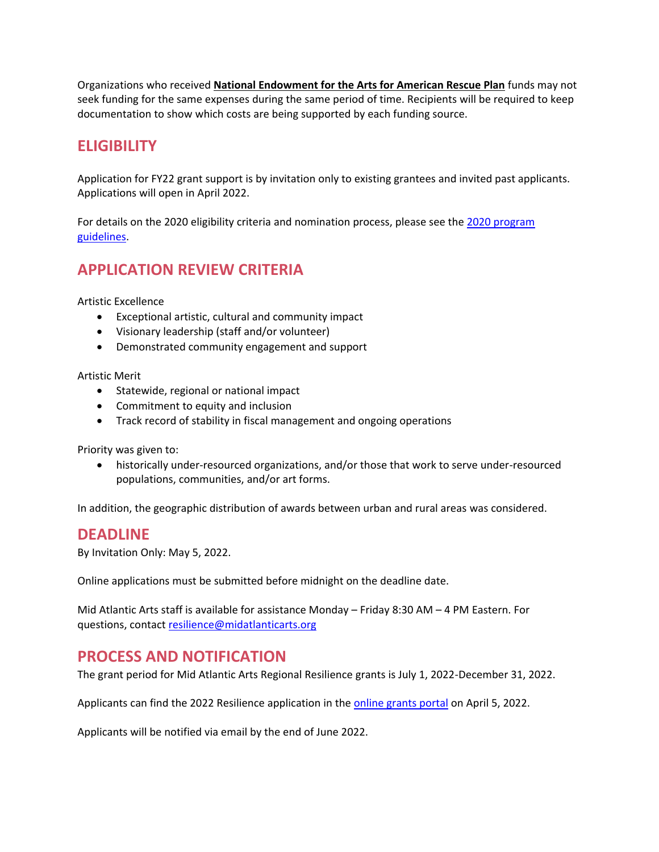Organizations who received **[National Endowment for the Arts for American Rescue Plan](https://www.arts.gov/about/news/2021/nea-offers-relief-funds-help-arts-and-culture-sector-recover-pandemic?utm_source=NEWS&utm_medium=FB&utm_campaign=NEWS_ARPGuidelines_FB)** funds may not seek funding for the same expenses during the same period of time. Recipients will be required to keep documentation to show which costs are being supported by each funding source.

## **ELIGIBILITY**

Application for FY22 grant support is by invitation only to existing grantees and invited past applicants. Applications will open in April 2022.

For details on the 2020 eligibility criteria and nomination process, please see the 2020 program [guidelines.](https://www.midatlanticarts.org/grants-programs/mid-atlantic-arts-regional-resilience-fund/)

# **APPLICATION REVIEW CRITERIA**

Artistic Excellence

- Exceptional artistic, cultural and community impact
- Visionary leadership (staff and/or volunteer)
- Demonstrated community engagement and support

Artistic Merit

- Statewide, regional or national impact
- Commitment to equity and inclusion
- Track record of stability in fiscal management and ongoing operations

Priority was given to:

• historically under-resourced organizations, and/or those that work to serve under-resourced populations, communities, and/or art forms.

In addition, the geographic distribution of awards between urban and rural areas was considered.

#### **DEADLINE**

By Invitation Only: May 5, 2022.

Online applications must be submitted before midnight on the deadline date.

Mid Atlantic Arts staff is available for assistance Monday – Friday 8:30 AM – 4 PM Eastern. For questions, contac[t resilience@midatlanticarts.org](mailto:resilience@midatlanticarts.org)

## **PROCESS AND NOTIFICATION**

The grant period for Mid Atlantic Arts Regional Resilience grants is July 1, 2022-December 31, 2022.

Applicants can find the 2022 Resilience application in the [online grants portal](https://midatlanticarts.smartsimple.com/) on April 5, 2022.

Applicants will be notified via email by the end of June 2022.